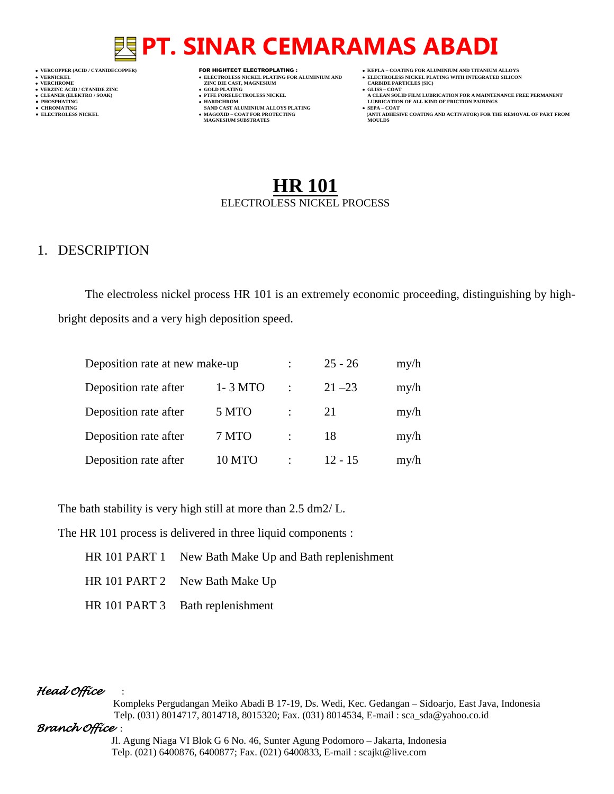- 
- 

- 
- 
- 

- **VERT ASSESSED ASSESSED ASSESSED ASSESSED ASSESSED ASSESSED ASSESSED ASSESSED ASSESSED ASSESSED ASSESSED ASSESSED ASSESSED ASSESSED ASSESSED ASSESSED ASSESSED ASSESSED ASSESSED ASSESSED ASSESSED ASSESSED ASSESSED ASSESSED**
- **VERZINC ACID / CYANIDE ZINC GOLD PLATING GLISS – COAT**
	-
- **● CHROMATING SAND CAST ALUMINIUM ALLOYS PLATING SEPA – COAT MAGNESIUM SUBSTRATES MOULDS**
- **VERCOPPER (ACID / CYANIDECOPPER)** FOR HIGHTECT ELECTROPLATING :  **KEPLA – COATING FOR ALUMINIUM AND TITANIUM ALLOYS**
- **VERNICKEL ELECTROLESS NICKEL PLATING FOR ALUMINIUM AND ELECTROLESS NICKEL PLATING WITH INTEGRATED SILICON**
	-
- **CLEANER (ELEKTRO / SOAK) PTFE FORELECTROLESS NICKEL A CLEAN SOLID FILM LUBRICATION FOR A MAINTENANCE FREE PERMANENT ● PHOSPHATING HARDCHROM LUBRICATION OF ALL KIND OF FRICTION PAIRINGS**
- **● ELECTROLESS NICKEL MAGOXID – COAT FOR PROTECTING (ANTI ADHESIVE COATING AND ACTIVATOR) FOR THE REMOVAL OF PART FROM**

# **HR 101** ELECTROLESS NICKEL PROCESS

### 1. DESCRIPTION

The electroless nickel process HR 101 is an extremely economic proceeding, distinguishing by high-

bright deposits and a very high deposition speed.

| Deposition rate at new make-up |         |               | $25 - 26$ | my/h |
|--------------------------------|---------|---------------|-----------|------|
| Deposition rate after          | 1-3 MTO | ٠             | $21 - 23$ | my/h |
| Deposition rate after          | 5 MTO   | ٠             | 21        | my/h |
| Deposition rate after          | 7 MTO   | $\bullet$ .   | 18        | my/h |
| Deposition rate after          | 10 MTO  | $\mathcal{L}$ | $12 - 15$ | my/h |

The bath stability is very high still at more than 2.5 dm2/ L.

The HR 101 process is delivered in three liquid components :

- HR 101 PART 1 New Bath Make Up and Bath replenishment
- HR 101 PART 2 New Bath Make Up
- HR 101 PART 3 Bath replenishment

#### *Head Office* :

 Kompleks Pergudangan Meiko Abadi B 17-19, Ds. Wedi, Kec. Gedangan – Sidoarjo, East Java, Indonesia Telp. (031) 8014717, 8014718, 8015320; Fax. (031) 8014534, E-mail : sca\_sda@yahoo.co.id

#### *Branch Office* :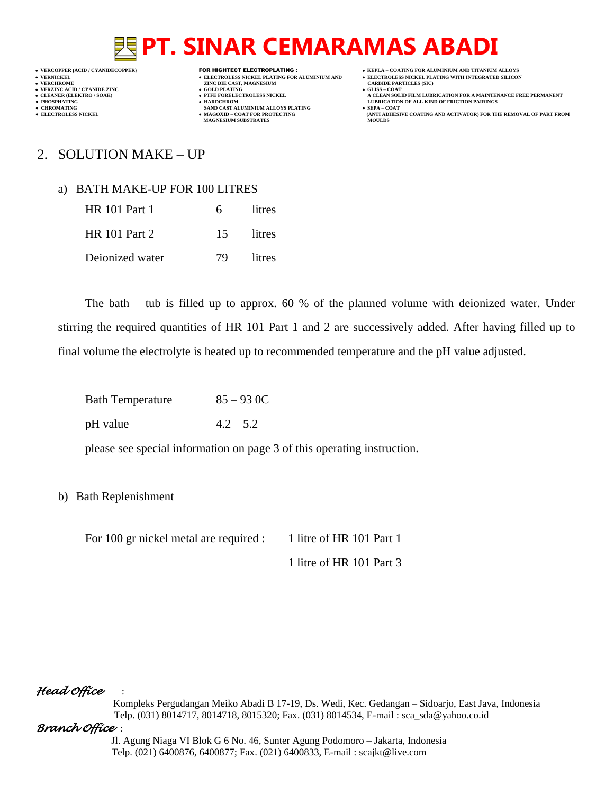- 
- 

**VERT ASSESSED ASSESSED ASSESSED ASSESSED ASSESSED ASSESSED ASSESSED ASSESSED ASSESSED ASSESSED ASSESSED ASSESSED ASSESSED ASSESSED ASSESSED ASSESSED ASSESSED ASSESSED ASSESSED ASSESSED ASSESSED ASSESSED ASSESSED ASSESSED** 

- **VERZINC ACID / CYANIDE ZINC GOLD PLATING GLISS – COAT**
	-
- **•** CHROMATING **CHROMATING • CHROMATING • CHROMATING • CHROMATING • CHROMATING • MAGOXID COAT** FOR PROTECTING **MAGNESIUM SUBSTRATES**
- **VERCOPPER (ACID / CYANIDECOPPER)** FOR HIGHTECT ELECTROPLATING :  **KEPLA – COATING FOR ALUMINIUM AND TITANIUM ALLOYS**
- **VERNICKEL ELECTROLESS NICKEL PLATING FOR ALUMINIUM AND ELECTROLESS NICKEL PLATING WITH INTEGRATED SILICON**
	-
- **CLEANER (ELEKTRO / SOAK) PTFE FORELECTROLESS NICKEL A CLEAN SOLID FILM LUBRICATION FOR A MAINTENANCE FREE PERMANENT ● PHOSPHATING HARDCHROM LUBRICATION OF ALL KIND OF FRICTION PAIRINGS** 
	- **● ELECTROLESS NICKEL MAGOXID – COAT FOR PROTECTING (ANTI ADHESIVE COATING AND ACTIVATOR) FOR THE REMOVAL OF PART FROM**
	-

## 2. SOLUTION MAKE – UP

#### a) BATH MAKE-UP FOR 100 LITRES

| <b>HR</b> 101 Part 1 | 6. | litres    |
|----------------------|----|-----------|
| <b>HR</b> 101 Part 2 |    | 15 litres |
| Deionized water      | 79 | litres    |

The bath – tub is filled up to approx. 60 % of the planned volume with deionized water. Under stirring the required quantities of HR 101 Part 1 and 2 are successively added. After having filled up to final volume the electrolyte is heated up to recommended temperature and the pH value adjusted.

| <b>Bath Temperature</b> | $85 - 93$ OC |
|-------------------------|--------------|
| pH value                | $4.2 - 5.2$  |

please see special information on page 3 of this operating instruction.

#### b) Bath Replenishment

For 100 gr nickel metal are required : 1 litre of HR 101 Part 1

1 litre of HR 101 Part 3

#### *Head Office* :

 Kompleks Pergudangan Meiko Abadi B 17-19, Ds. Wedi, Kec. Gedangan – Sidoarjo, East Java, Indonesia Telp. (031) 8014717, 8014718, 8015320; Fax. (031) 8014534, E-mail : sca\_sda@yahoo.co.id

#### *Branch Office* :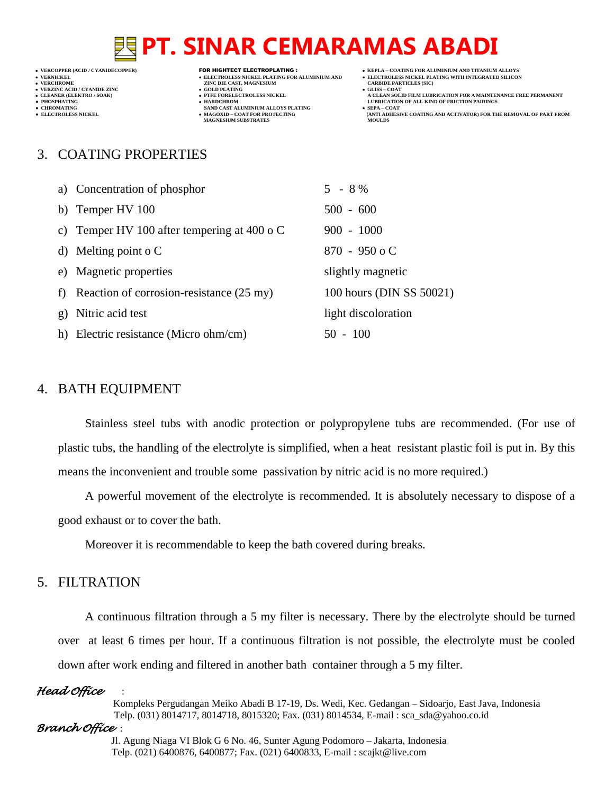- 
- 
- 

- **VERFORM ZINC DIE CAST, MAGNESIUM CARBIDE PARTICLES (SIC)**<br> **CARBIDE PARTING**
- **VERZINC ACID / CYANIDE ZINC GOLD PLATING GLISS – COAT**
	-
- **•** CHROMATING **CHROMATING • CHROMATING • CHROMATING • CHROMATING • CHROMATING • MAGOXID COAT** FOR PROTECTING **MAGNESIUM SUBSTRATES**
- **VERCOPPER (ACID / CYANIDECOPPER)** FOR HIGHTECT ELECTROPLATING :  **KEPLA – COATING FOR ALUMINIUM AND TITANIUM ALLOYS**
- **VERNICKEL ELECTROLESS NICKEL PLATING FOR ALUMINIUM AND ELECTROLESS NICKEL PLATING WITH INTEGRATED SILICON**
	-
- **CLEANER (ELEKTRO / SOAK) PTFE FORELECTROLESS NICKEL A CLEAN SOLID FILM LUBRICATION FOR A MAINTENANCE FREE PERMANENT ● PHOSPHATING HARDCHROM LUBRICATION OF ALL KIND OF FRICTION PAIRINGS** 
	- **ELECTROLESS AND ACTIVATOR) FOR THE REMOVAL OF PART FROM (ANTI ADHESIVE COATING AND ACTIVATOR) FOR THE REMOVAL OF PART FROM**

### 3. COATING PROPERTIES

| a) Concentration of phosphor                          | $5 - 8 \%$               |
|-------------------------------------------------------|--------------------------|
| b) Temper $HV 100$                                    | $500 - 600$              |
| c) Temper HV 100 after tempering at 400 $\sigma$ C    | $900 - 1000$             |
| d) Melting point o $C$                                | $870 - 950$ o C          |
| e) Magnetic properties                                | slightly magnetic        |
| f) Reaction of corrosion-resistance $(25 \text{ my})$ | 100 hours (DIN SS 50021) |
| g) Nitric acid test                                   | light discoloration      |
| h) Electric resistance (Micro ohm/cm)                 | $50 - 100$               |
|                                                       |                          |

#### 4. BATH EQUIPMENT

Stainless steel tubs with anodic protection or polypropylene tubs are recommended. (For use of plastic tubs, the handling of the electrolyte is simplified, when a heat resistant plastic foil is put in. By this means the inconvenient and trouble some passivation by nitric acid is no more required.)

A powerful movement of the electrolyte is recommended. It is absolutely necessary to dispose of a good exhaust or to cover the bath.

Moreover it is recommendable to keep the bath covered during breaks.

## 5. FILTRATION

A continuous filtration through a 5 my filter is necessary. There by the electrolyte should be turned over at least 6 times per hour. If a continuous filtration is not possible, the electrolyte must be cooled down after work ending and filtered in another bath container through a 5 my filter.

#### *Head Office* :

 Kompleks Pergudangan Meiko Abadi B 17-19, Ds. Wedi, Kec. Gedangan – Sidoarjo, East Java, Indonesia Telp. (031) 8014717, 8014718, 8015320; Fax. (031) 8014534, E-mail : sca\_sda@yahoo.co.id

#### *Branch Office* :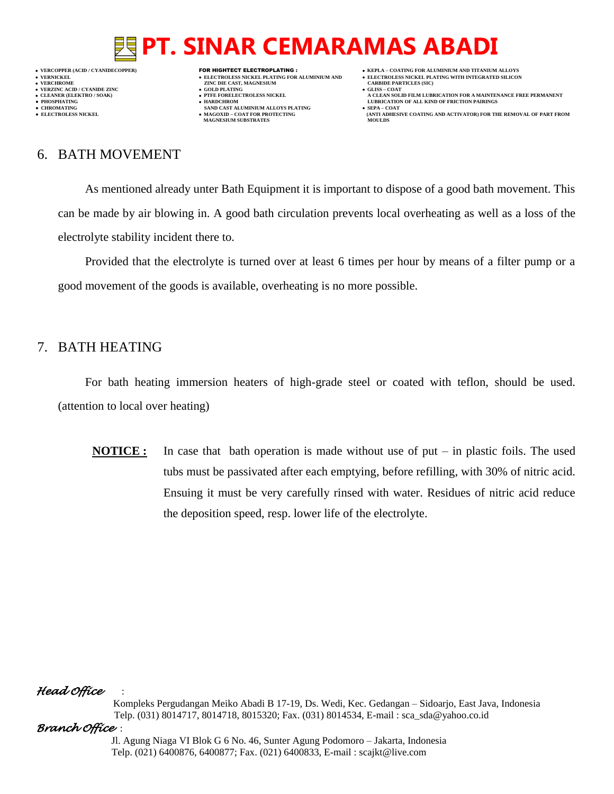

- 
- 
- 
- **VERFORM ZINC DIE CAST, MAGNESIUM CARBIDE PARTICLES (SIC)**<br> **CARBIDE PARTING**
- 
- **PHOSPHATING HARDCHROM LUBRICATION OF ALL KIND OF FRICTION PAIRINGS •** CHROMATING **CHROMATING • CHROMATING • CHROMATING • CHROMATING • CHROMATING • MAGOXID** – **COAT** FOR PROTECTING
	- **MAGNESIUM SUBSTRATES**
- **VERCOPPER (ACID / CYANIDECOPPER)** FOR HIGHTECT ELECTROPLATING :  **KEPLA – COATING FOR ALUMINIUM AND TITANIUM ALLOYS**
	-
- **CLEANER (ELEKTRO / SOAK) PTFE FORELECTROLESS NICKEL A CLEAN SOLID FILM LUBRICATION FOR A MAINTENANCE FREE PERMANENT**
	- **ELECTROLESS AND ACTIVATOR) FOR THE REMOVAL OF PART FROM (ANTI ADHESIVE COATING AND ACTIVATOR) FOR THE REMOVAL OF PART FROM <b>MOULDS**

# 6. BATH MOVEMENT

As mentioned already unter Bath Equipment it is important to dispose of a good bath movement. This can be made by air blowing in. A good bath circulation prevents local overheating as well as a loss of the electrolyte stability incident there to.

Provided that the electrolyte is turned over at least 6 times per hour by means of a filter pump or a good movement of the goods is available, overheating is no more possible.

## 7. BATH HEATING

For bath heating immersion heaters of high-grade steel or coated with teflon, should be used. (attention to local over heating)

**NOTICE :** In case that bath operation is made without use of put – in plastic foils. The used tubs must be passivated after each emptying, before refilling, with 30% of nitric acid. Ensuing it must be very carefully rinsed with water. Residues of nitric acid reduce the deposition speed, resp. lower life of the electrolyte.

### *Head Office* :

 Kompleks Pergudangan Meiko Abadi B 17-19, Ds. Wedi, Kec. Gedangan – Sidoarjo, East Java, Indonesia Telp. (031) 8014717, 8014718, 8015320; Fax. (031) 8014534, E-mail : sca\_sda@yahoo.co.id

### *Branch Office* :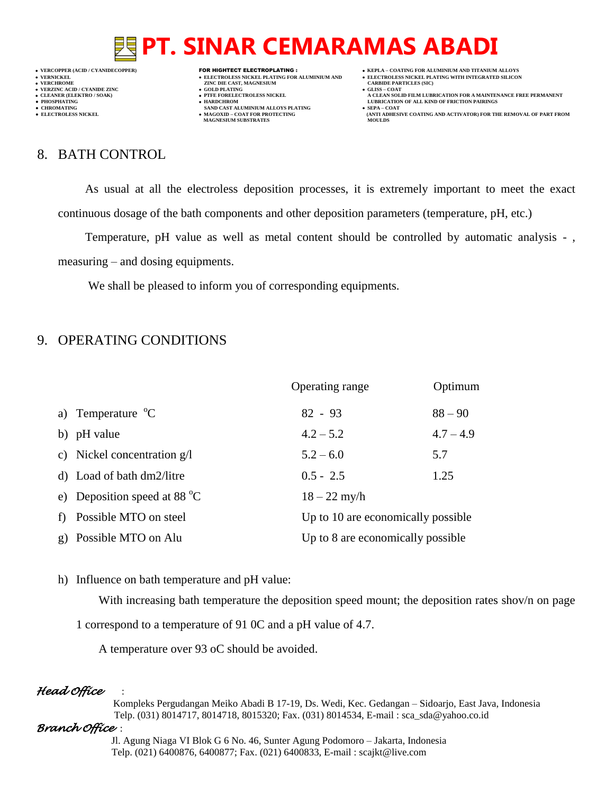

- 
- 

- **VERT AND AGNESIUM CARBIDE PARTICLES (SOLD PLATING ASSESSMENT ASSESSMENT ASSESSMENT ASSESSMENT ASSESSMENT ASSESSMENT ASSESSMENT ASSESSMENT ASSESSMENT ASSESSMENT ASSESSMENT ASSESSMENT ASSESSMENT ASSESSMENT ASSESSMENT ASSESS**
- 
- 
- **● CHROMATING SAND CAST ALUMINIUM ALLOYS PLATING SEPA – COAT MAGNESIUM SUBSTRATES MOULDS**
- **VERCOPPER (ACID / CYANIDECOPPER)** FOR HIGHTECT ELECTROPLATING :  **KEPLA – COATING FOR ALUMINIUM AND TITANIUM ALLOYS**
	-
	-
- **CLEANER (ELEKTRO / SOAK) PTFE FORELECTROLESS NICKEL A CLEAN SOLID FILM LUBRICATION FOR A MAINTENANCE FREE PERMANENT ● PHOSPHATING HARDCHROM LUBRICATION OF ALL KIND OF FRICTION PAIRINGS**
- **● ELECTROLESS NICKEL MAGOXID – COAT FOR PROTECTING (ANTI ADHESIVE COATING AND ACTIVATOR) FOR THE REMOVAL OF PART FROM**

## 8. BATH CONTROL

As usual at all the electroless deposition processes, it is extremely important to meet the exact continuous dosage of the bath components and other deposition parameters (temperature, pH, etc.)

Temperature, pH value as well as metal content should be controlled by automatic analysis -,

measuring – and dosing equipments.

We shall be pleased to inform you of corresponding equipments.

## 9. OPERATING CONDITIONS

|                                        | Operating range                    | Optimum     |
|----------------------------------------|------------------------------------|-------------|
| a) Temperature ${}^{\circ}C$           | $82 - 93$                          | $88 - 90$   |
| b) pH value                            | $4.2 - 5.2$                        | $4.7 - 4.9$ |
| c) Nickel concentration $g/l$          | $5.2 - 6.0$                        | 5.7         |
| d) Load of bath dm2/litre              | $0.5 - 2.5$                        | 1.25        |
| e) Deposition speed at 88 $^{\circ}$ C | $18 - 22$ my/h                     |             |
| f) Possible MTO on steel               | Up to 10 are economically possible |             |
| g) Possible MTO on Alu                 | Up to 8 are economically possible  |             |

h) Influence on bath temperature and pH value:

With increasing bath temperature the deposition speed mount; the deposition rates shov/n on page

1 correspond to a temperature of 91 0C and a pH value of 4.7.

A temperature over 93 oC should be avoided.

### *Head Office* :

 Kompleks Pergudangan Meiko Abadi B 17-19, Ds. Wedi, Kec. Gedangan – Sidoarjo, East Java, Indonesia Telp. (031) 8014717, 8014718, 8015320; Fax. (031) 8014534, E-mail : sca\_sda@yahoo.co.id

### *Branch Office* :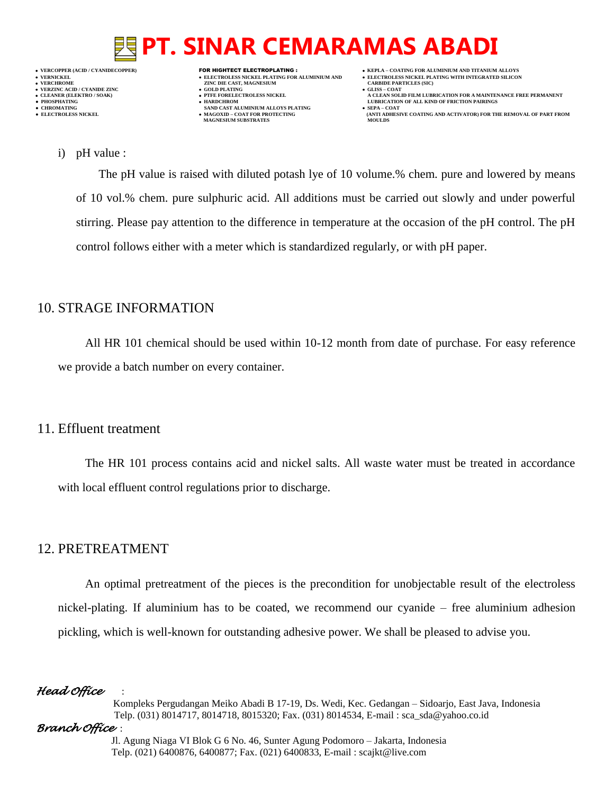

- 
- 

- **VERFORM ZINC DIE CAST, MAGNESIUM CARBIDE PARTICLES (SIC)**<br> **CARBIDE PARTING**
- 
- 
- **● CHROMATING SAND CAST ALUMINIUM ALLOYS PLATING SEPA – COAT MAGNESIUM SUBSTRATES**
- **VERCOPPER (ACID / CYANIDECOPPER)** FOR HIGHTECT ELECTROPLATING :  **KEPLA – COATING FOR ALUMINIUM AND TITANIUM ALLOYS**
	-
- **CLEANER (ELEKTRO / SOAK) PTFE FORELECTROLESS NICKEL A CLEAN SOLID FILM LUBRICATION FOR A MAINTENANCE FREE PERMANENT ● PHOSPHATING HARDCHROM LUBRICATION OF ALL KIND OF FRICTION PAIRINGS** 
	- **ELECTROLESS AND ACTIVATOR) FOR THE REMOVAL OF PART FROM (ANTI ADHESIVE COATING AND ACTIVATOR) FOR THE REMOVAL OF PART FROM <b>MOULDS**

i) pH value :

The pH value is raised with diluted potash lye of 10 volume.% chem. pure and lowered by means of 10 vol.% chem. pure sulphuric acid. All additions must be carried out slowly and under powerful stirring. Please pay attention to the difference in temperature at the occasion of the pH control. The pH control follows either with a meter which is standardized regularly, or with pH paper.

## 10. STRAGE INFORMATION

All HR 101 chemical should be used within 10-12 month from date of purchase. For easy reference we provide a batch number on every container.

### 11. Effluent treatment

The HR 101 process contains acid and nickel salts. All waste water must be treated in accordance with local effluent control regulations prior to discharge.

### 12. PRETREATMENT

An optimal pretreatment of the pieces is the precondition for unobjectable result of the electroless nickel-plating. If aluminium has to be coated, we recommend our cyanide – free aluminium adhesion pickling, which is well-known for outstanding adhesive power. We shall be pleased to advise you.

#### *Head Office* :

 Kompleks Pergudangan Meiko Abadi B 17-19, Ds. Wedi, Kec. Gedangan – Sidoarjo, East Java, Indonesia Telp. (031) 8014717, 8014718, 8015320; Fax. (031) 8014534, E-mail : sca\_sda@yahoo.co.id

#### *Branch Office* :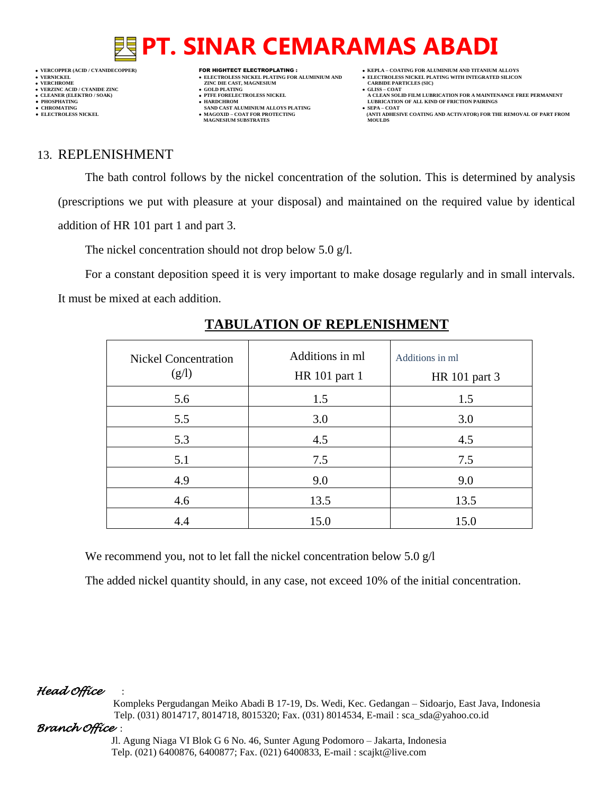

- 
- 

- **VERT ASSESSED ASSESSED ASSESSED ASSESSED ASSESSED ASSESSED ASSESSED ASSESSED ASSESSED ASSESSED ASSESSED ASSESSED ASSESSED ASSESSED ASSESSED ASSESSED ASSESSED ASSESSED ASSESSED ASSESSED ASSESSED ASSESSED ASSESSED ASSESSED**
- 
- 
- **● CHROMATING SAND CAST ALUMINIUM ALLOYS PLATING SEPA – COAT MAGNESIUM SUBSTRATES MOULDS**
- **VERCOPPER (ACID / CYANIDECOPPER)** FOR HIGHTECT ELECTROPLATING :  **KEPLA – COATING FOR ALUMINIUM AND TITANIUM ALLOYS**
	-
- **CLEANER (ELEKTRO / SOAK) PTFE FORELECTROLESS NICKEL A CLEAN SOLID FILM LUBRICATION FOR A MAINTENANCE FREE PERMANENT**
- **● ELECTROLESS NICKEL MAGOXID – COAT FOR PROTECTING (ANTI ADHESIVE COATING AND ACTIVATOR) FOR THE REMOVAL OF PART FROM**

### 13. REPLENISHMENT

The bath control follows by the nickel concentration of the solution. This is determined by analysis (prescriptions we put with pleasure at your disposal) and maintained on the required value by identical addition of HR 101 part 1 and part 3.

The nickel concentration should not drop below 5.0 g/l.

For a constant deposition speed it is very important to make dosage regularly and in small intervals. It must be mixed at each addition.

| <b>Nickel Concentration</b><br>(g/l) | Additions in ml<br>HR 101 part 1 | Additions in ml<br>HR 101 part 3 |
|--------------------------------------|----------------------------------|----------------------------------|
| 5.6                                  | 1.5                              | 1.5                              |
| 5.5                                  | 3.0                              | 3.0                              |
| 5.3                                  | 4.5                              | 4.5                              |
| 5.1                                  | 7.5                              | 7.5                              |
| 4.9                                  | 9.0                              | 9.0                              |
| 4.6                                  | 13.5                             | 13.5                             |
| 4.4                                  | 15.0                             | 15.0                             |

# **TABULATION OF REPLENISHMENT**

We recommend you, not to let fall the nickel concentration below 5.0 g/l

The added nickel quantity should, in any case, not exceed 10% of the initial concentration.

### *Head Office* :

 Kompleks Pergudangan Meiko Abadi B 17-19, Ds. Wedi, Kec. Gedangan – Sidoarjo, East Java, Indonesia Telp. (031) 8014717, 8014718, 8015320; Fax. (031) 8014534, E-mail : sca\_sda@yahoo.co.id

### *Branch Office* :